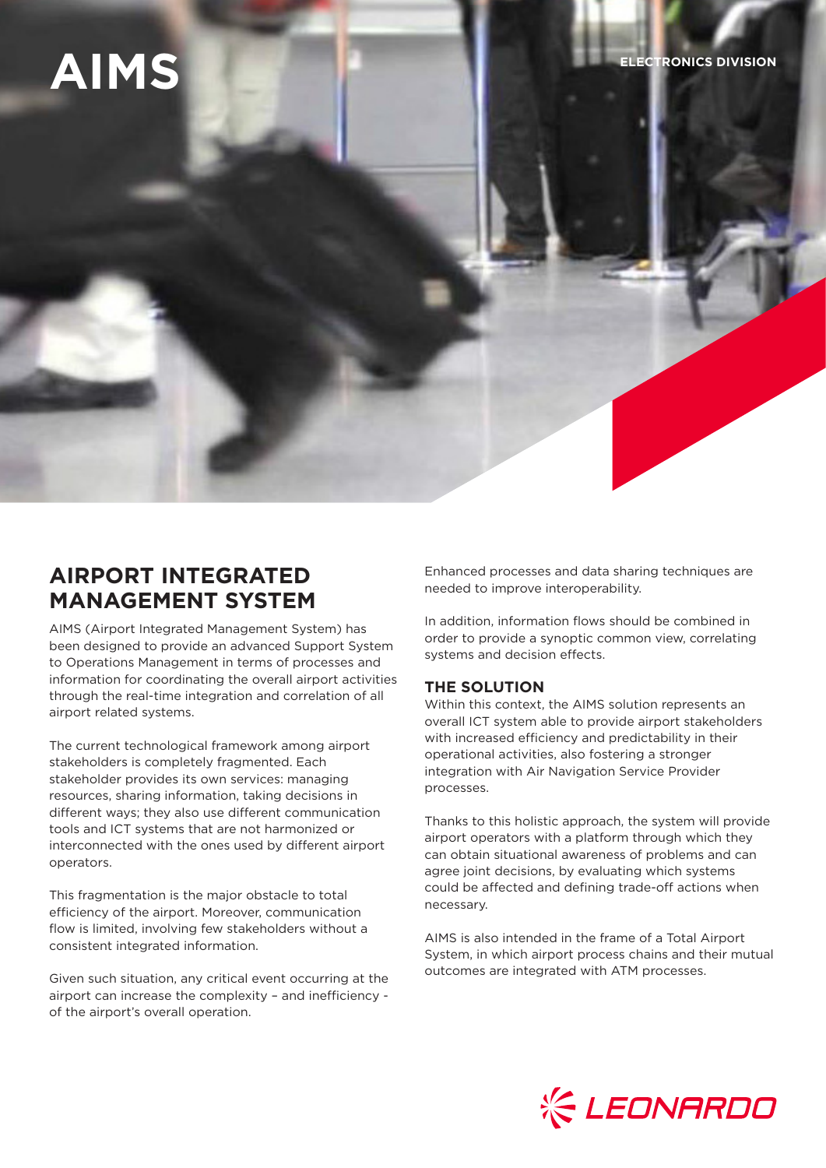# **AIMS ELECTRONICS DIVISION**

## **AIRPORT INTEGRATED MANAGEMENT SYSTEM**

AIMS (Airport Integrated Management System) has been designed to provide an advanced Support System to Operations Management in terms of processes and information for coordinating the overall airport activities through the real-time integration and correlation of all airport related systems.

The current technological framework among airport stakeholders is completely fragmented. Each stakeholder provides its own services: managing resources, sharing information, taking decisions in different ways; they also use different communication tools and ICT systems that are not harmonized or interconnected with the ones used by different airport operators.

This fragmentation is the major obstacle to total efficiency of the airport. Moreover, communication flow is limited, involving few stakeholders without a consistent integrated information.

Given such situation, any critical event occurring at the airport can increase the complexity – and inefficiency of the airport's overall operation.

Enhanced processes and data sharing techniques are needed to improve interoperability.

In addition, information flows should be combined in order to provide a synoptic common view, correlating systems and decision effects.

#### **THE SOLUTION**

Within this context, the AIMS solution represents an overall ICT system able to provide airport stakeholders with increased efficiency and predictability in their operational activities, also fostering a stronger integration with Air Navigation Service Provider processes.

Thanks to this holistic approach, the system will provide airport operators with a platform through which they can obtain situational awareness of problems and can agree joint decisions, by evaluating which systems could be affected and defining trade-off actions when necessary.

AIMS is also intended in the frame of a Total Airport System, in which airport process chains and their mutual outcomes are integrated with ATM processes.